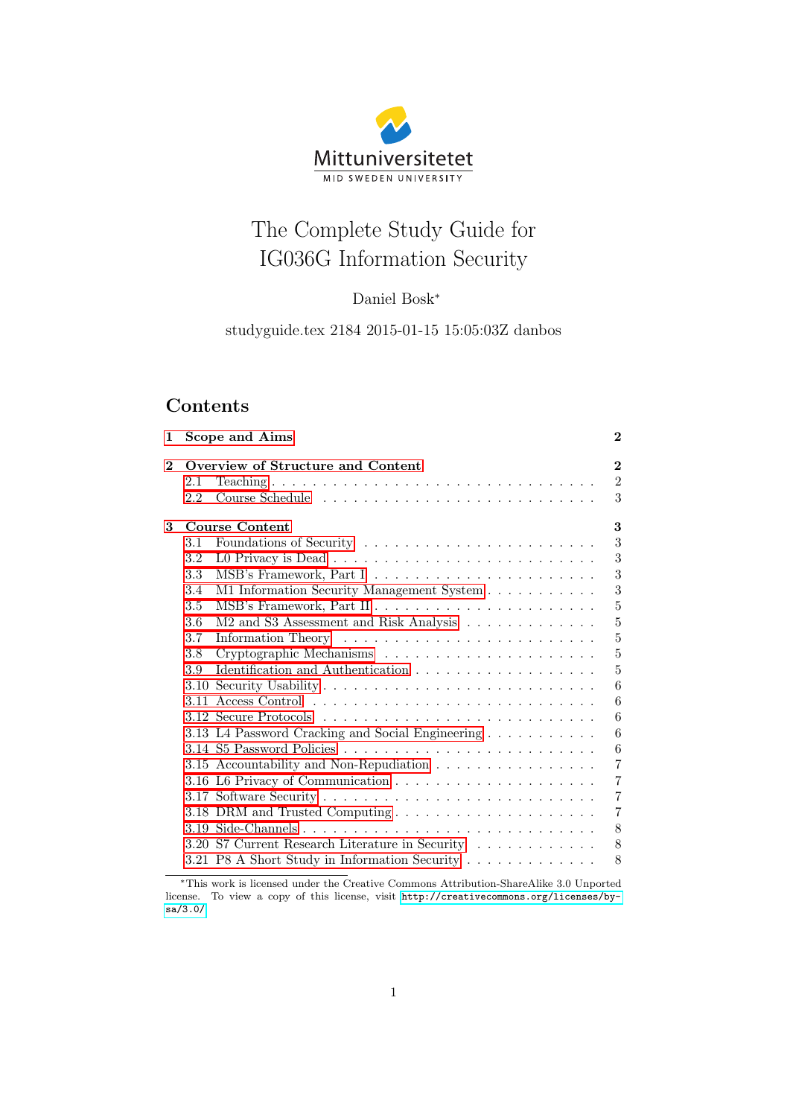# Mittuniversitetet MID SWEDEN UNIVERSITY

# The Complete Study Guide for IG036G Information Security

# Daniel Bosk<sup>∗</sup>

studyguide.tex 2184 2015-01-15 15:05:03Z danbos

# **Contents**

| $\mathbf 1$    | Scope and Aims |                                                  |                |  |  |  |  |
|----------------|----------------|--------------------------------------------------|----------------|--|--|--|--|
| $\overline{2}$ |                | Overview of Structure and Content                | $\bf{2}$       |  |  |  |  |
|                | 2.1            |                                                  | $\overline{2}$ |  |  |  |  |
|                | 2.2            |                                                  | 3              |  |  |  |  |
| 3              |                | Course Content                                   |                |  |  |  |  |
|                | 3.1            | Foundations of Security                          | 3              |  |  |  |  |
|                | $3.2\,$        |                                                  | 3              |  |  |  |  |
|                | 3.3            |                                                  | 3              |  |  |  |  |
|                | 3.4            | M1 Information Security Management System        | 3              |  |  |  |  |
|                | 3.5            |                                                  | $\overline{5}$ |  |  |  |  |
|                | 3.6            | M2 and S3 Assessment and Risk Analysis           | $\overline{5}$ |  |  |  |  |
|                | 3.7            |                                                  | 5              |  |  |  |  |
|                | 3.8            |                                                  | $\overline{5}$ |  |  |  |  |
|                | 3.9            |                                                  | 5              |  |  |  |  |
|                |                |                                                  | 6              |  |  |  |  |
|                |                |                                                  | 6              |  |  |  |  |
|                |                |                                                  | 6              |  |  |  |  |
|                |                | 3.13 L4 Password Cracking and Social Engineering | 6              |  |  |  |  |
|                |                |                                                  | 6              |  |  |  |  |
|                |                | 3.15 Accountability and Non-Repudiation          | $\overline{7}$ |  |  |  |  |
|                |                |                                                  | $\overline{7}$ |  |  |  |  |
|                |                |                                                  | $\overline{7}$ |  |  |  |  |
|                |                |                                                  | $\overline{7}$ |  |  |  |  |
|                |                |                                                  | 8              |  |  |  |  |
|                |                | 3.20 S7 Current Research Literature in Security  | 8              |  |  |  |  |
|                |                | 3.21 P8 A Short Study in Information Security    | 8              |  |  |  |  |
|                |                |                                                  |                |  |  |  |  |

<sup>∗</sup>This work is licensed under the Creative Commons Attribution-ShareAlike 3.0 Unported license. To view a copy of this license, visit [http://creativecommons.org/licenses/by](http://creativecommons.org/licenses/by-sa/3.0/)[sa/3.0/](http://creativecommons.org/licenses/by-sa/3.0/).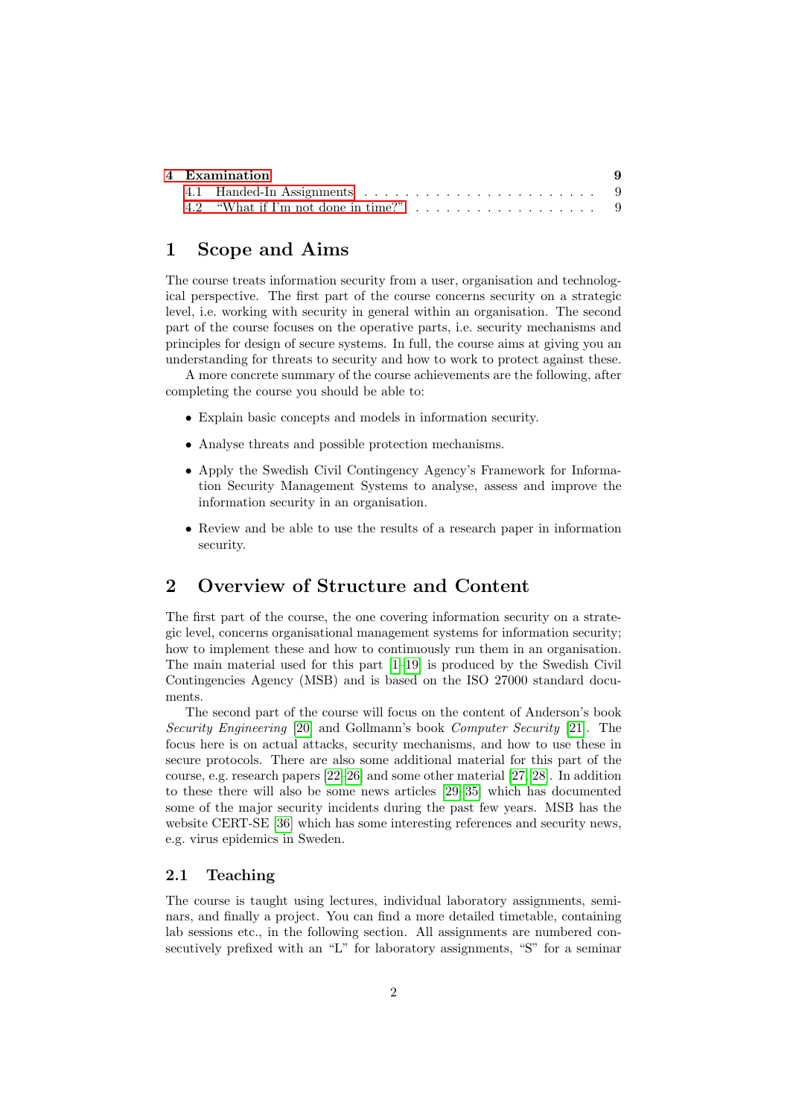| 4 Examination |                                                                                 |  |  |  |  |  |
|---------------|---------------------------------------------------------------------------------|--|--|--|--|--|
|               |                                                                                 |  |  |  |  |  |
|               | 4.2 "What if I'm not done in time?" $\ldots \ldots \ldots \ldots \ldots \ldots$ |  |  |  |  |  |

# <span id="page-1-0"></span>1 Scope and Aims

The course treats information security from a user, organisation and technological perspective. The first part of the course concerns security on a strategic level, i.e. working with security in general within an organisation. The second part of the course focuses on the operative parts, i.e. security mechanisms and principles for design of secure systems. In full, the course aims at giving you an understanding for threats to security and how to work to protect against these.

A more concrete summary of the course achievements are the following, after completing the course you should be able to:

- Explain basic concepts and models in information security.
- Analyse threats and possible protection mechanisms.
- Apply the Swedish Civil Contingency Agency's Framework for Information Security Management Systems to analyse, assess and improve the information security in an organisation.
- Review and be able to use the results of a research paper in information security.

# <span id="page-1-1"></span>2 Overview of Structure and Content

The first part of the course, the one covering information security on a strategic level, concerns organisational management systems for information security; how to implement these and how to continuously run them in an organisation. The main material used for this part [\[1–](#page-9-0)[19\]](#page-11-0) is produced by the Swedish Civil Contingencies Agency (MSB) and is based on the ISO 27000 standard documents.

The second part of the course will focus on the content of Anderson's book Security Engineering [\[20\]](#page-11-1) and Gollmann's book Computer Security [\[21\]](#page-11-2). The focus here is on actual attacks, security mechanisms, and how to use these in secure protocols. There are also some additional material for this part of the course, e.g. research papers [\[22](#page-11-3)[–26\]](#page-11-4) and some other material [\[27,](#page-11-5) [28\]](#page-11-6). In addition to these there will also be some news articles [\[29–](#page-11-7)[35\]](#page-12-0) which has documented some of the major security incidents during the past few years. MSB has the website CERT-SE [\[36\]](#page-12-1) which has some interesting references and security news, e.g. virus epidemics in Sweden.

#### <span id="page-1-2"></span>2.1 Teaching

The course is taught using lectures, individual laboratory assignments, seminars, and finally a project. You can find a more detailed timetable, containing lab sessions etc., in the following section. All assignments are numbered consecutively prefixed with an "L" for laboratory assignments, "S" for a seminar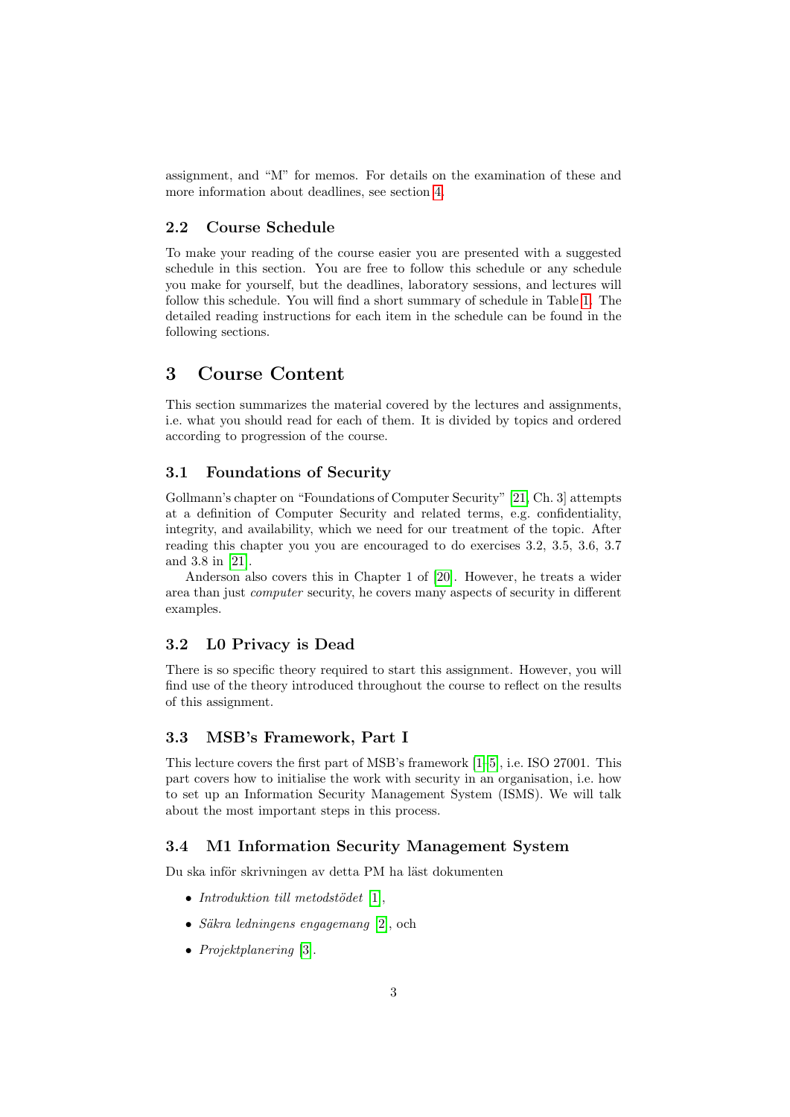assignment, and "M" for memos. For details on the examination of these and more information about deadlines, see section [4.](#page-8-0)

#### <span id="page-2-0"></span>2.2 Course Schedule

To make your reading of the course easier you are presented with a suggested schedule in this section. You are free to follow this schedule or any schedule you make for yourself, but the deadlines, laboratory sessions, and lectures will follow this schedule. You will find a short summary of schedule in Table [1.](#page-3-0) The detailed reading instructions for each item in the schedule can be found in the following sections.

# <span id="page-2-1"></span>3 Course Content

This section summarizes the material covered by the lectures and assignments, i.e. what you should read for each of them. It is divided by topics and ordered according to progression of the course.

#### <span id="page-2-2"></span>3.1 Foundations of Security

Gollmann's chapter on "Foundations of Computer Security" [\[21,](#page-11-2) Ch. 3] attempts at a definition of Computer Security and related terms, e.g. confidentiality, integrity, and availability, which we need for our treatment of the topic. After reading this chapter you you are encouraged to do exercises 3.2, 3.5, 3.6, 3.7 and 3.8 in [\[21\]](#page-11-2).

Anderson also covers this in Chapter 1 of [\[20\]](#page-11-1). However, he treats a wider area than just computer security, he covers many aspects of security in different examples.

## <span id="page-2-3"></span>3.2 L0 Privacy is Dead

There is so specific theory required to start this assignment. However, you will find use of the theory introduced throughout the course to reflect on the results of this assignment.

#### <span id="page-2-4"></span>3.3 MSB's Framework, Part I

This lecture covers the first part of MSB's framework [\[1–](#page-9-0)[5\]](#page-9-1), i.e. ISO 27001. This part covers how to initialise the work with security in an organisation, i.e. how to set up an Information Security Management System (ISMS). We will talk about the most important steps in this process.

## <span id="page-2-5"></span>3.4 M1 Information Security Management System

Du ska inför skrivningen av detta PM ha läst dokumenten

- Introduktion till metodstödet  $[1]$ ,
- Säkra ledningens engagemang  $[2]$ , och
- Projektplanering [\[3\]](#page-9-3).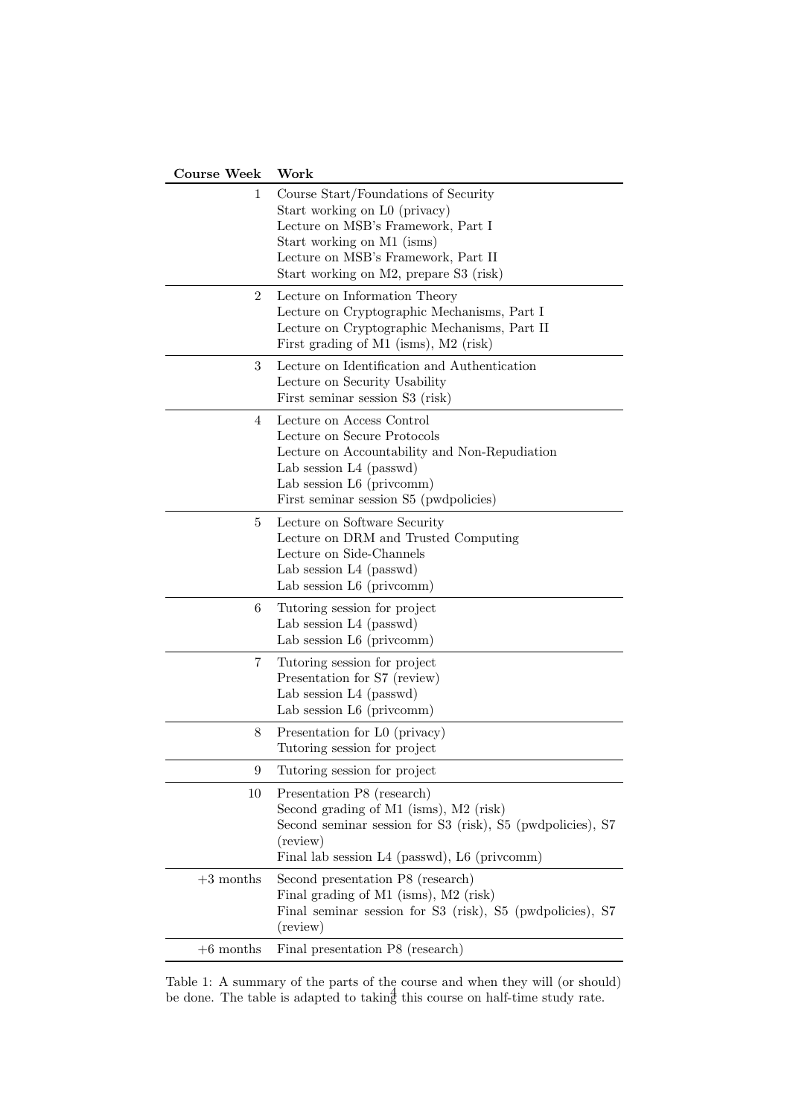| <b>Course Week</b> | Work                                                                                                                                                                                                                       |
|--------------------|----------------------------------------------------------------------------------------------------------------------------------------------------------------------------------------------------------------------------|
| 1                  | Course Start/Foundations of Security<br>Start working on L0 (privacy)<br>Lecture on MSB's Framework, Part I<br>Start working on M1 (isms)<br>Lecture on MSB's Framework, Part II<br>Start working on M2, prepare S3 (risk) |
| $\overline{2}$     | Lecture on Information Theory<br>Lecture on Cryptographic Mechanisms, Part I<br>Lecture on Cryptographic Mechanisms, Part II<br>First grading of M1 (isms), M2 (risk)                                                      |
| 3                  | Lecture on Identification and Authentication<br>Lecture on Security Usability<br>First seminar session S3 (risk)                                                                                                           |
| 4                  | Lecture on Access Control<br>Lecture on Secure Protocols<br>Lecture on Accountability and Non-Repudiation<br>Lab session L4 (passwd)<br>Lab session L6 (privcomm)<br>First seminar session S5 (pwdpolicies)                |
| 5                  | Lecture on Software Security<br>Lecture on DRM and Trusted Computing<br>Lecture on Side-Channels<br>Lab session L4 (passwd)<br>Lab session L6 (privcomm)                                                                   |
| 6                  | Tutoring session for project<br>Lab session L4 (passwd)<br>Lab session $L6$ (privcomm)                                                                                                                                     |
| 7                  | Tutoring session for project<br>Presentation for S7 (review)<br>Lab session L4 (passwd)<br>Lab session L6 (privcomm)                                                                                                       |
| 8                  | Presentation for L0 (privacy)<br>Tutoring session for project                                                                                                                                                              |
| 9                  | Tutoring session for project                                                                                                                                                                                               |
| 10                 | Presentation P8 (research)<br>Second grading of M1 (isms), M2 (risk)<br>Second seminar session for S3 (risk), S5 (pwdpolicies), S7<br>(review)<br>Final lab session L4 (passwd), L6 (privcomm)                             |
| $+3$ months        | Second presentation P8 (research)<br>Final grading of M1 (isms), M2 (risk)<br>Final seminar session for S3 (risk), S5 (pwdpolicies), S7<br>(review)                                                                        |
| $+6$ months        | Final presentation P8 (research)                                                                                                                                                                                           |

<span id="page-3-0"></span>Table 1: A summary of the parts of the course and when they will (or should) be done. The table is adapted to taking this course on half-time study rate.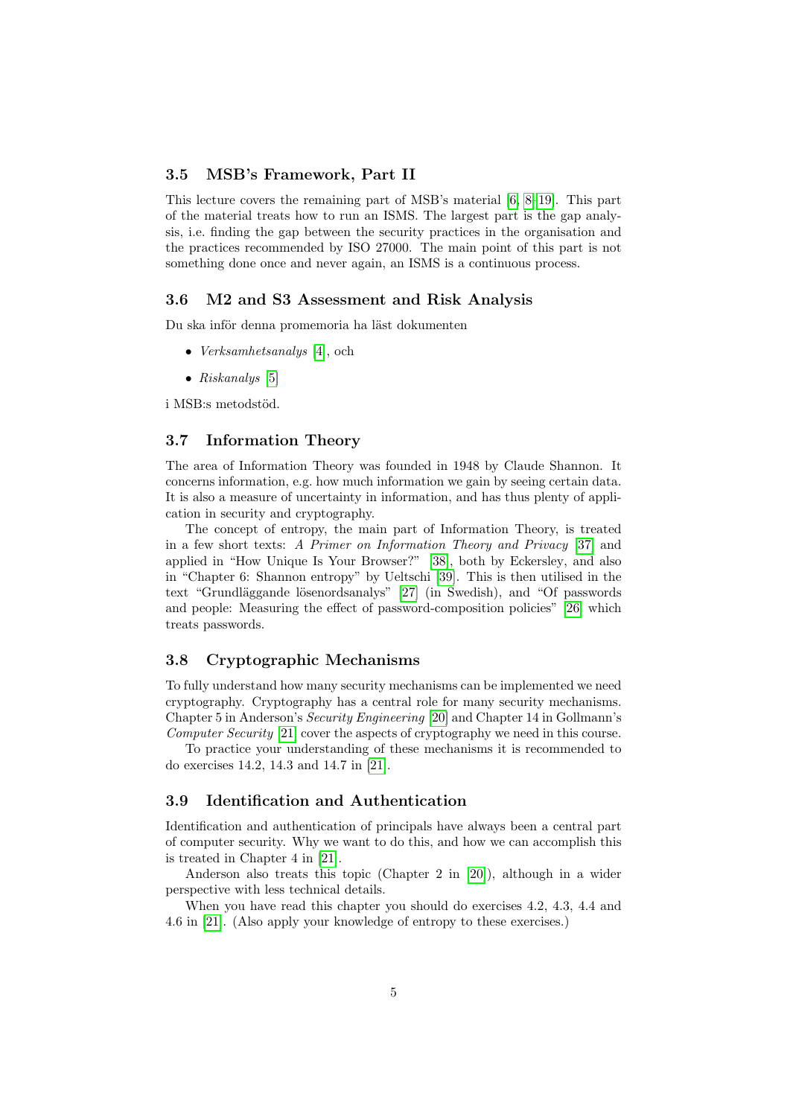#### <span id="page-4-0"></span>3.5 MSB's Framework, Part II

This lecture covers the remaining part of MSB's material [\[6,](#page-9-4) [8–](#page-10-0)[19\]](#page-11-0). This part of the material treats how to run an ISMS. The largest part is the gap analysis, i.e. finding the gap between the security practices in the organisation and the practices recommended by ISO 27000. The main point of this part is not something done once and never again, an ISMS is a continuous process.

#### <span id="page-4-1"></span>3.6 M2 and S3 Assessment and Risk Analysis

Du ska inför denna promemoria ha läst dokumenten

- *Verksamhetsanalys* [\[4\]](#page-9-5), och
- Riskanalys [\[5\]](#page-9-1)

i MSB:s metodstöd.

#### <span id="page-4-2"></span>3.7 Information Theory

The area of Information Theory was founded in 1948 by Claude Shannon. It concerns information, e.g. how much information we gain by seeing certain data. It is also a measure of uncertainty in information, and has thus plenty of application in security and cryptography.

The concept of entropy, the main part of Information Theory, is treated in a few short texts: A Primer on Information Theory and Privacy [\[37\]](#page-12-2) and applied in "How Unique Is Your Browser?" [\[38\]](#page-12-3), both by Eckersley, and also in "Chapter 6: Shannon entropy" by Ueltschi [\[39\]](#page-12-4). This is then utilised in the text "Grundläggande lösenordsanalys" [\[27\]](#page-11-5) (in Swedish), and "Of passwords and people: Measuring the effect of password-composition policies" [\[26\]](#page-11-4) which treats passwords.

#### <span id="page-4-3"></span>3.8 Cryptographic Mechanisms

To fully understand how many security mechanisms can be implemented we need cryptography. Cryptography has a central role for many security mechanisms. Chapter 5 in Anderson's Security Engineering [\[20\]](#page-11-1) and Chapter 14 in Gollmann's Computer Security [\[21\]](#page-11-2) cover the aspects of cryptography we need in this course.

To practice your understanding of these mechanisms it is recommended to do exercises 14.2, 14.3 and 14.7 in [\[21\]](#page-11-2).

#### <span id="page-4-4"></span>3.9 Identification and Authentication

Identification and authentication of principals have always been a central part of computer security. Why we want to do this, and how we can accomplish this is treated in Chapter 4 in [\[21\]](#page-11-2).

Anderson also treats this topic (Chapter 2 in [\[20\]](#page-11-1)), although in a wider perspective with less technical details.

When you have read this chapter you should do exercises 4.2, 4.3, 4.4 and 4.6 in [\[21\]](#page-11-2). (Also apply your knowledge of entropy to these exercises.)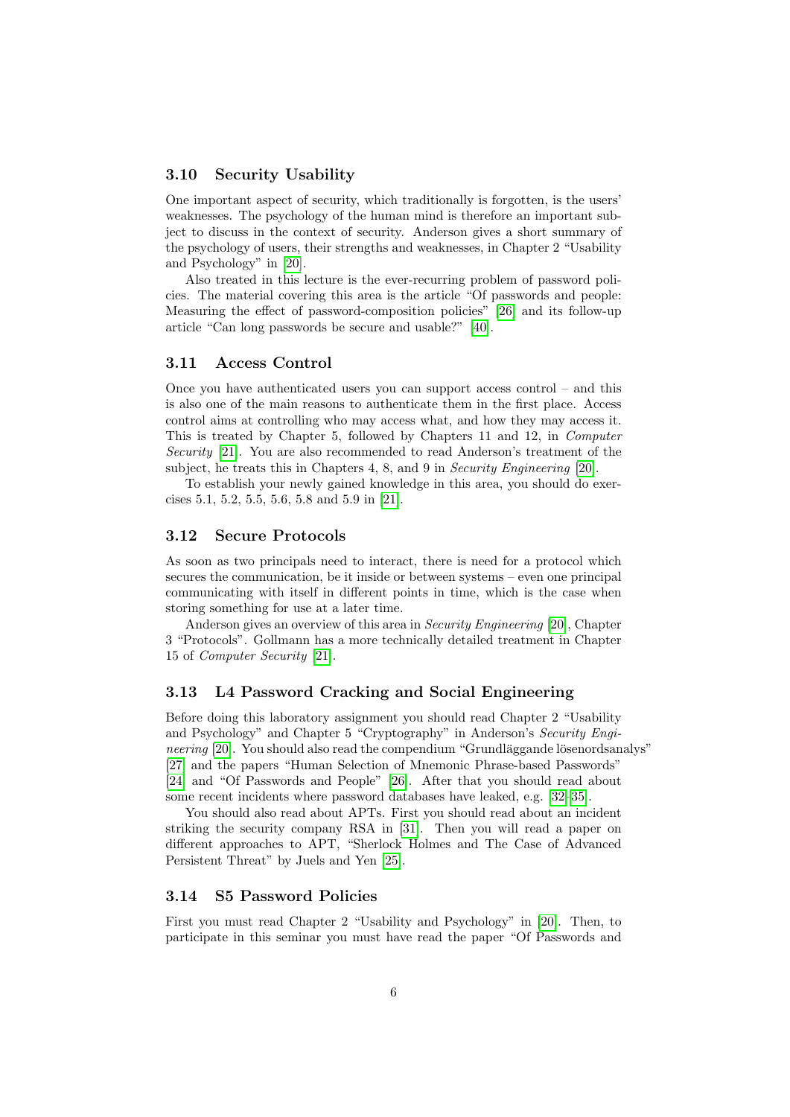#### <span id="page-5-0"></span>3.10 Security Usability

One important aspect of security, which traditionally is forgotten, is the users' weaknesses. The psychology of the human mind is therefore an important subject to discuss in the context of security. Anderson gives a short summary of the psychology of users, their strengths and weaknesses, in Chapter 2 "Usability and Psychology" in [\[20\]](#page-11-1).

Also treated in this lecture is the ever-recurring problem of password policies. The material covering this area is the article "Of passwords and people: Measuring the effect of password-composition policies" [\[26\]](#page-11-4) and its follow-up article "Can long passwords be secure and usable?" [\[40\]](#page-12-5).

#### <span id="page-5-1"></span>3.11 Access Control

Once you have authenticated users you can support access control – and this is also one of the main reasons to authenticate them in the first place. Access control aims at controlling who may access what, and how they may access it. This is treated by Chapter 5, followed by Chapters 11 and 12, in Computer Security [\[21\]](#page-11-2). You are also recommended to read Anderson's treatment of the subject, he treats this in Chapters 4, 8, and 9 in *Security Engineering* [\[20\]](#page-11-1).

To establish your newly gained knowledge in this area, you should do exercises 5.1, 5.2, 5.5, 5.6, 5.8 and 5.9 in [\[21\]](#page-11-2).

#### <span id="page-5-2"></span>3.12 Secure Protocols

As soon as two principals need to interact, there is need for a protocol which secures the communication, be it inside or between systems – even one principal communicating with itself in different points in time, which is the case when storing something for use at a later time.

Anderson gives an overview of this area in Security Engineering [\[20\]](#page-11-1), Chapter 3 "Protocols". Gollmann has a more technically detailed treatment in Chapter 15 of Computer Security [\[21\]](#page-11-2).

#### <span id="page-5-3"></span>3.13 L4 Password Cracking and Social Engineering

Before doing this laboratory assignment you should read Chapter 2 "Usability and Psychology" and Chapter 5 "Cryptography" in Anderson's Security Engineering  $[20]$ . You should also read the compendium "Grundläggande lösenordsanalys" [\[27\]](#page-11-5) and the papers "Human Selection of Mnemonic Phrase-based Passwords" [\[24\]](#page-11-8) and "Of Passwords and People" [\[26\]](#page-11-4). After that you should read about some recent incidents where password databases have leaked, e.g. [\[32–](#page-11-9)[35\]](#page-12-0).

You should also read about APTs. First you should read about an incident striking the security company RSA in [\[31\]](#page-11-10). Then you will read a paper on different approaches to APT, "Sherlock Holmes and The Case of Advanced Persistent Threat" by Juels and Yen [\[25\]](#page-11-11).

#### <span id="page-5-4"></span>3.14 S5 Password Policies

First you must read Chapter 2 "Usability and Psychology" in [\[20\]](#page-11-1). Then, to participate in this seminar you must have read the paper "Of Passwords and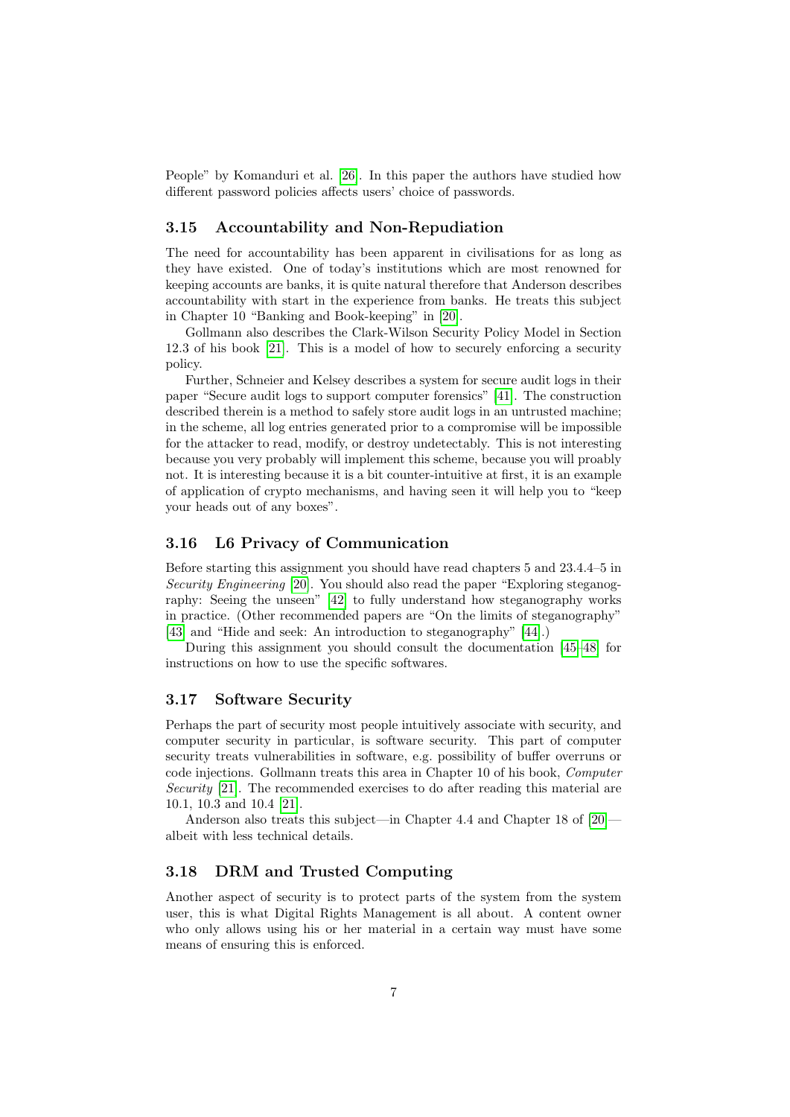People" by Komanduri et al. [\[26\]](#page-11-4). In this paper the authors have studied how different password policies affects users' choice of passwords.

#### <span id="page-6-0"></span>3.15 Accountability and Non-Repudiation

The need for accountability has been apparent in civilisations for as long as they have existed. One of today's institutions which are most renowned for keeping accounts are banks, it is quite natural therefore that Anderson describes accountability with start in the experience from banks. He treats this subject in Chapter 10 "Banking and Book-keeping" in [\[20\]](#page-11-1).

Gollmann also describes the Clark-Wilson Security Policy Model in Section 12.3 of his book [\[21\]](#page-11-2). This is a model of how to securely enforcing a security policy.

Further, Schneier and Kelsey describes a system for secure audit logs in their paper "Secure audit logs to support computer forensics" [\[41\]](#page-12-6). The construction described therein is a method to safely store audit logs in an untrusted machine; in the scheme, all log entries generated prior to a compromise will be impossible for the attacker to read, modify, or destroy undetectably. This is not interesting because you very probably will implement this scheme, because you will proably not. It is interesting because it is a bit counter-intuitive at first, it is an example of application of crypto mechanisms, and having seen it will help you to "keep your heads out of any boxes".

#### <span id="page-6-1"></span>3.16 L6 Privacy of Communication

Before starting this assignment you should have read chapters 5 and 23.4.4–5 in Security Engineering [\[20\]](#page-11-1). You should also read the paper "Exploring steganography: Seeing the unseen" [\[42\]](#page-12-7) to fully understand how steganography works in practice. (Other recommended papers are "On the limits of steganography" [\[43\]](#page-12-8) and "Hide and seek: An introduction to steganography" [\[44\]](#page-12-9).)

During this assignment you should consult the documentation [\[45–](#page-12-10)[48\]](#page-12-11) for instructions on how to use the specific softwares.

#### <span id="page-6-2"></span>3.17 Software Security

Perhaps the part of security most people intuitively associate with security, and computer security in particular, is software security. This part of computer security treats vulnerabilities in software, e.g. possibility of buffer overruns or code injections. Gollmann treats this area in Chapter 10 of his book, Computer Security [\[21\]](#page-11-2). The recommended exercises to do after reading this material are 10.1, 10.3 and 10.4 [\[21\]](#page-11-2).

Anderson also treats this subject—in Chapter 4.4 and Chapter 18 of [\[20\]](#page-11-1) albeit with less technical details.

#### <span id="page-6-3"></span>3.18 DRM and Trusted Computing

Another aspect of security is to protect parts of the system from the system user, this is what Digital Rights Management is all about. A content owner who only allows using his or her material in a certain way must have some means of ensuring this is enforced.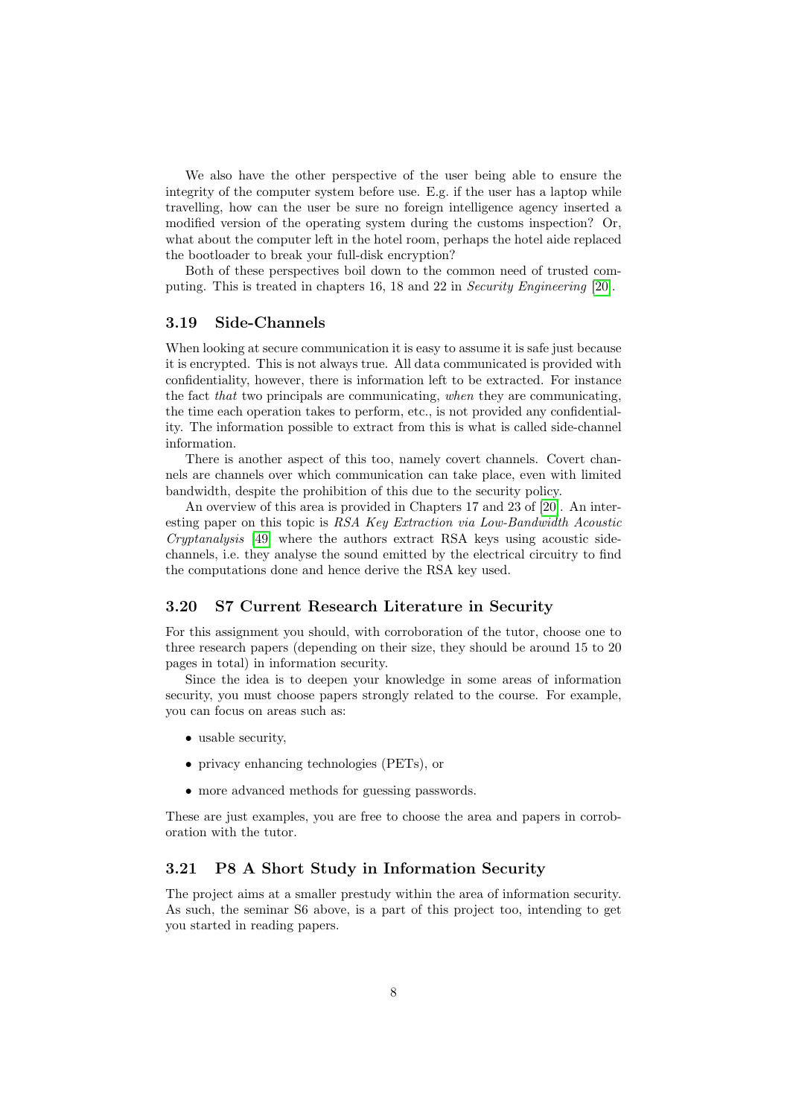We also have the other perspective of the user being able to ensure the integrity of the computer system before use. E.g. if the user has a laptop while travelling, how can the user be sure no foreign intelligence agency inserted a modified version of the operating system during the customs inspection? Or, what about the computer left in the hotel room, perhaps the hotel aide replaced the bootloader to break your full-disk encryption?

Both of these perspectives boil down to the common need of trusted computing. This is treated in chapters 16, 18 and 22 in Security Engineering [\[20\]](#page-11-1).

#### <span id="page-7-0"></span>3.19 Side-Channels

When looking at secure communication it is easy to assume it is safe just because it is encrypted. This is not always true. All data communicated is provided with confidentiality, however, there is information left to be extracted. For instance the fact that two principals are communicating, when they are communicating, the time each operation takes to perform, etc., is not provided any confidentiality. The information possible to extract from this is what is called side-channel information.

There is another aspect of this too, namely covert channels. Covert channels are channels over which communication can take place, even with limited bandwidth, despite the prohibition of this due to the security policy.

An overview of this area is provided in Chapters 17 and 23 of [\[20\]](#page-11-1). An interesting paper on this topic is RSA Key Extraction via Low-Bandwidth Acoustic Cryptanalysis [\[49\]](#page-13-0) where the authors extract RSA keys using acoustic sidechannels, i.e. they analyse the sound emitted by the electrical circuitry to find the computations done and hence derive the RSA key used.

#### <span id="page-7-1"></span>3.20 S7 Current Research Literature in Security

For this assignment you should, with corroboration of the tutor, choose one to three research papers (depending on their size, they should be around 15 to 20 pages in total) in information security.

Since the idea is to deepen your knowledge in some areas of information security, you must choose papers strongly related to the course. For example, you can focus on areas such as:

- usable security,
- privacy enhancing technologies (PETs), or
- more advanced methods for guessing passwords.

These are just examples, you are free to choose the area and papers in corroboration with the tutor.

#### <span id="page-7-2"></span>3.21 P8 A Short Study in Information Security

The project aims at a smaller prestudy within the area of information security. As such, the seminar S6 above, is a part of this project too, intending to get you started in reading papers.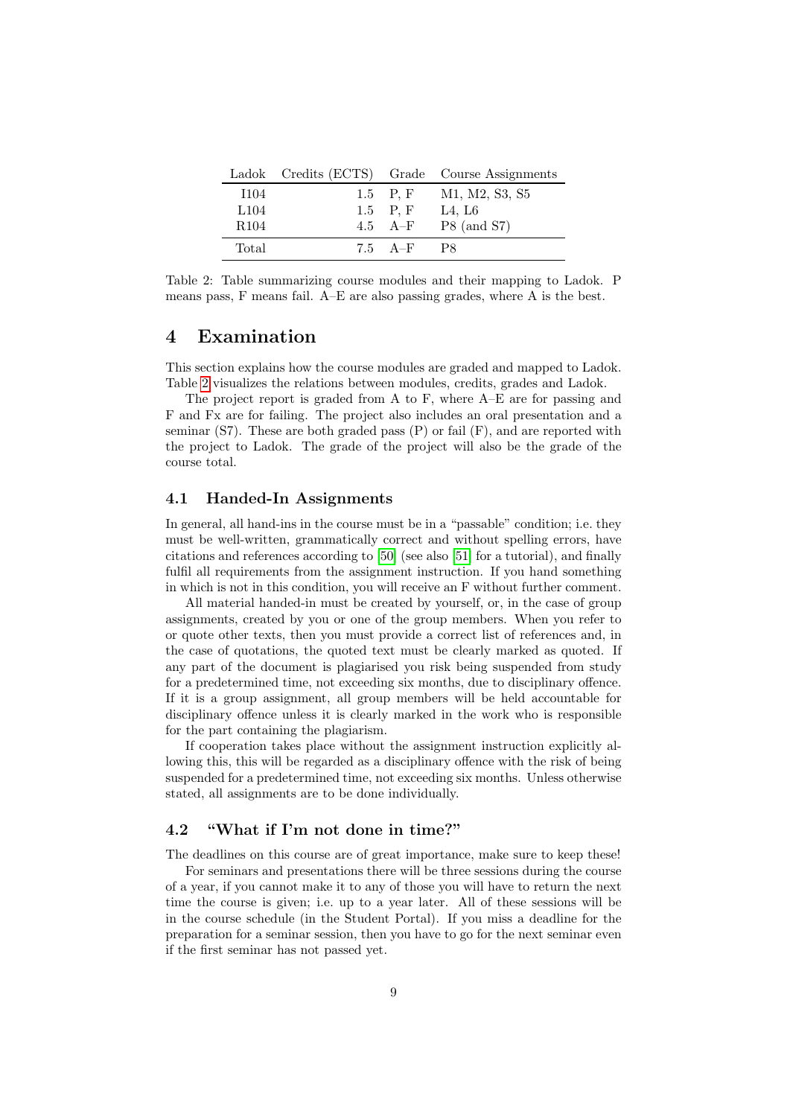|                  |                 | Ladok Credits (ECTS) Grade Course Assignments |
|------------------|-----------------|-----------------------------------------------|
| I104             | 1.5 P.F         | M1, M2, S3, S5                                |
| L <sub>104</sub> | 1.5 P.F         | L4, L6                                        |
| R <sub>104</sub> | $4.5 \quad A-F$ | $P8$ (and S7)                                 |
| Total            | $7.5\quad A-F$  | - P8                                          |

<span id="page-8-3"></span>Table 2: Table summarizing course modules and their mapping to Ladok. P means pass, F means fail. A–E are also passing grades, where A is the best.

# <span id="page-8-0"></span>4 Examination

This section explains how the course modules are graded and mapped to Ladok. Table [2](#page-8-3) visualizes the relations between modules, credits, grades and Ladok.

The project report is graded from A to F, where A–E are for passing and F and Fx are for failing. The project also includes an oral presentation and a seminar  $(S7)$ . These are both graded pass  $(P)$  or fail  $(F)$ , and are reported with the project to Ladok. The grade of the project will also be the grade of the course total.

#### <span id="page-8-1"></span>4.1 Handed-In Assignments

In general, all hand-ins in the course must be in a "passable" condition; i.e. they must be well-written, grammatically correct and without spelling errors, have citations and references according to [\[50\]](#page-13-1) (see also [\[51\]](#page-13-2) for a tutorial), and finally fulfil all requirements from the assignment instruction. If you hand something in which is not in this condition, you will receive an F without further comment.

All material handed-in must be created by yourself, or, in the case of group assignments, created by you or one of the group members. When you refer to or quote other texts, then you must provide a correct list of references and, in the case of quotations, the quoted text must be clearly marked as quoted. If any part of the document is plagiarised you risk being suspended from study for a predetermined time, not exceeding six months, due to disciplinary offence. If it is a group assignment, all group members will be held accountable for disciplinary offence unless it is clearly marked in the work who is responsible for the part containing the plagiarism.

If cooperation takes place without the assignment instruction explicitly allowing this, this will be regarded as a disciplinary offence with the risk of being suspended for a predetermined time, not exceeding six months. Unless otherwise stated, all assignments are to be done individually.

#### <span id="page-8-2"></span>4.2 "What if I'm not done in time?"

The deadlines on this course are of great importance, make sure to keep these! For seminars and presentations there will be three sessions during the course of a year, if you cannot make it to any of those you will have to return the next time the course is given; i.e. up to a year later. All of these sessions will be in the course schedule (in the Student Portal). If you miss a deadline for the preparation for a seminar session, then you have to go for the next seminar even if the first seminar has not passed yet.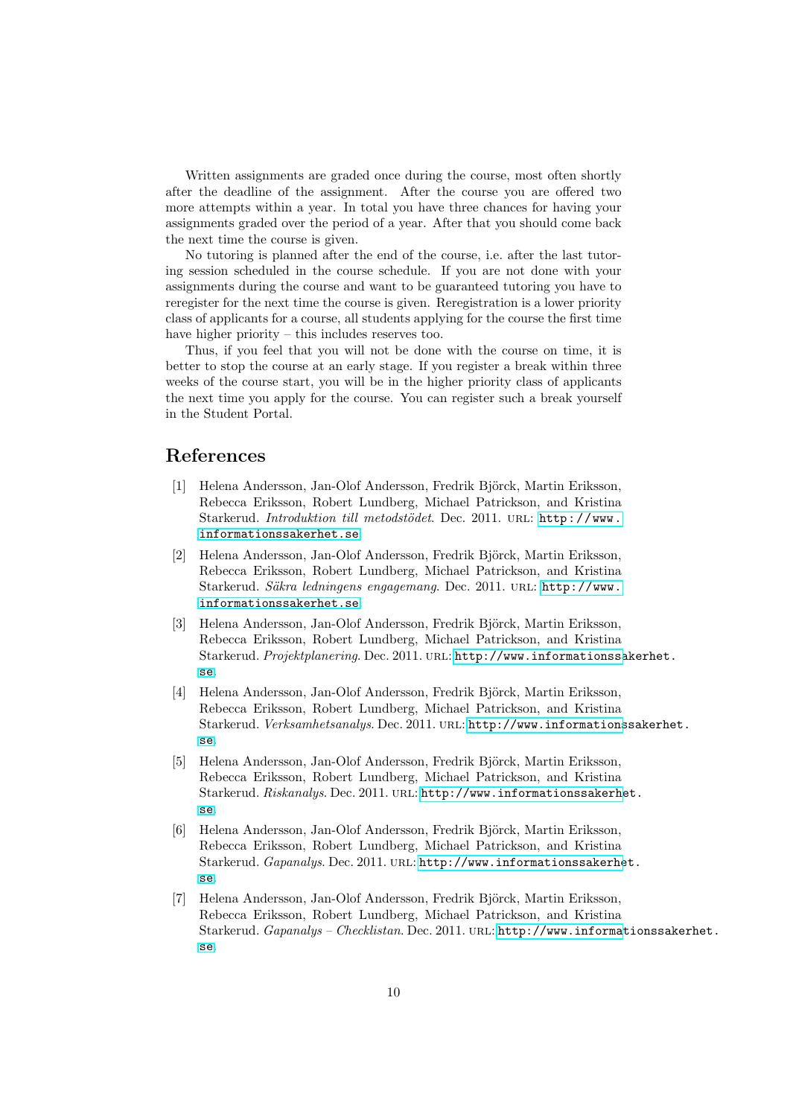Written assignments are graded once during the course, most often shortly after the deadline of the assignment. After the course you are offered two more attempts within a year. In total you have three chances for having your assignments graded over the period of a year. After that you should come back the next time the course is given.

No tutoring is planned after the end of the course, i.e. after the last tutoring session scheduled in the course schedule. If you are not done with your assignments during the course and want to be guaranteed tutoring you have to reregister for the next time the course is given. Reregistration is a lower priority class of applicants for a course, all students applying for the course the first time have higher priority – this includes reserves too.

Thus, if you feel that you will not be done with the course on time, it is better to stop the course at an early stage. If you register a break within three weeks of the course start, you will be in the higher priority class of applicants the next time you apply for the course. You can register such a break yourself in the Student Portal.

# References

- <span id="page-9-0"></span>[1] Helena Andersson, Jan-Olof Andersson, Fredrik Björck, Martin Eriksson, Rebecca Eriksson, Robert Lundberg, Michael Patrickson, and Kristina Starkerud. Introduktion till metodstödet. Dec. 2011. URL: [http://www.](http://www.informationssakerhet.se) [informationssakerhet.se](http://www.informationssakerhet.se).
- <span id="page-9-2"></span>[2] Helena Andersson, Jan-Olof Andersson, Fredrik Björck, Martin Eriksson, Rebecca Eriksson, Robert Lundberg, Michael Patrickson, and Kristina Starkerud. Säkra ledningens engagemang. Dec. 2011. URL: [http://www.](http://www.informationssakerhet.se) [informationssakerhet.se](http://www.informationssakerhet.se).
- <span id="page-9-3"></span>[3] Helena Andersson, Jan-Olof Andersson, Fredrik Björck, Martin Eriksson, Rebecca Eriksson, Robert Lundberg, Michael Patrickson, and Kristina Starkerud. Projektplanering. Dec. 2011. url: [http://www.informationssa](http://www.informationssakerhet.se)kerhet. [se](http://www.informationssakerhet.se).
- <span id="page-9-5"></span>[4] Helena Andersson, Jan-Olof Andersson, Fredrik Björck, Martin Eriksson, Rebecca Eriksson, Robert Lundberg, Michael Patrickson, and Kristina Starkerud. Verksamhetsanalys. Dec. 2011. URL: [http://www.informations](http://www.informationssakerhet.se)sakerhet. [se](http://www.informationssakerhet.se).
- <span id="page-9-1"></span>[5] Helena Andersson, Jan-Olof Andersson, Fredrik Björck, Martin Eriksson, Rebecca Eriksson, Robert Lundberg, Michael Patrickson, and Kristina Starkerud. Riskanalys. Dec. 2011. URL: [http://www.informationssakerhe](http://www.informationssakerhet.se)t. [se](http://www.informationssakerhet.se).
- <span id="page-9-4"></span>[6] Helena Andersson, Jan-Olof Andersson, Fredrik Björck, Martin Eriksson, Rebecca Eriksson, Robert Lundberg, Michael Patrickson, and Kristina Starkerud. Gapanalys. Dec. 2011. URL: [http://www.informationssakerhe](http://www.informationssakerhet.se)t. [se](http://www.informationssakerhet.se).
- [7] Helena Andersson, Jan-Olof Andersson, Fredrik Björck, Martin Eriksson, Rebecca Eriksson, Robert Lundberg, Michael Patrickson, and Kristina Starkerud. Gapanalys - Checklistan. Dec. 2011. URL: [http://www.informat](http://www.informationssakerhet.se)ionssakerhet. [se](http://www.informationssakerhet.se).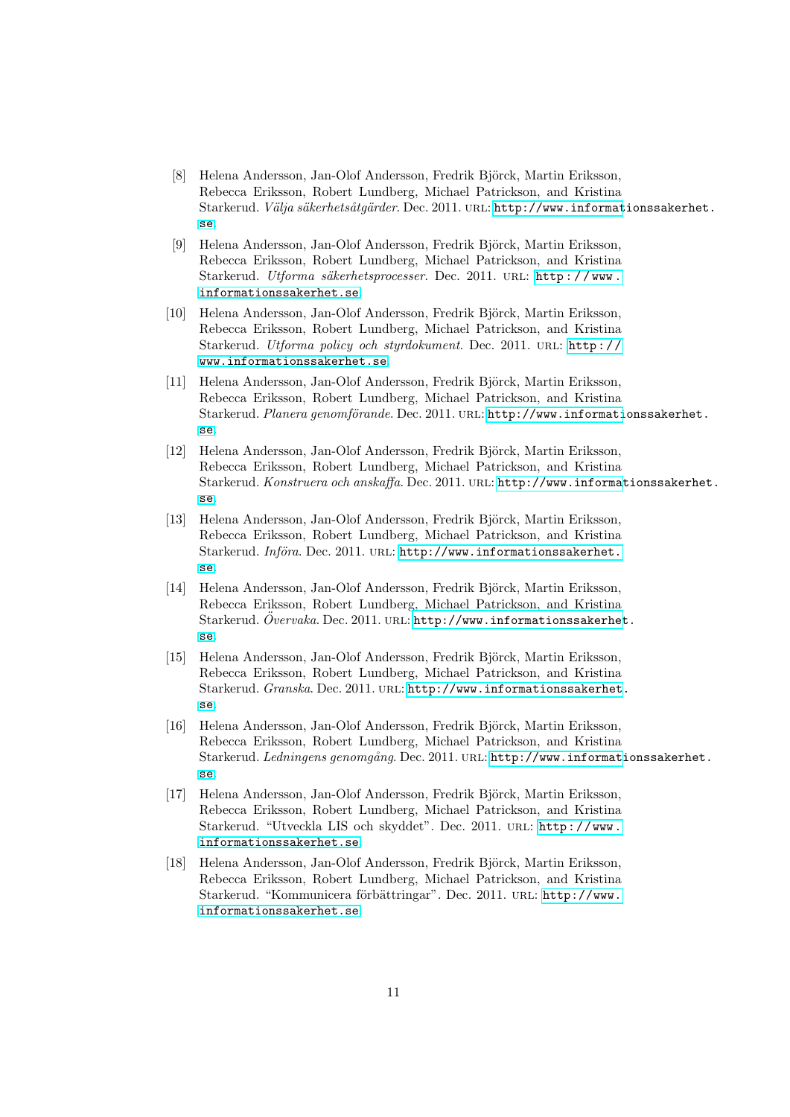- <span id="page-10-0"></span>[8] Helena Andersson, Jan-Olof Andersson, Fredrik Björck, Martin Eriksson, Rebecca Eriksson, Robert Lundberg, Michael Patrickson, and Kristina Starkerud. Välja säkerhetsåtgärder. Dec. 2011. URL: [http://www.informat](http://www.informationssakerhet.se)ionssakerhet. [se](http://www.informationssakerhet.se).
- [9] Helena Andersson, Jan-Olof Andersson, Fredrik Björck, Martin Eriksson, Rebecca Eriksson, Robert Lundberg, Michael Patrickson, and Kristina Starkerud. Utforma säkerhetsprocesser. Dec. 2011. URL: http://www. [informationssakerhet.se](http://www.informationssakerhet.se).
- [10] Helena Andersson, Jan-Olof Andersson, Fredrik Björck, Martin Eriksson, Rebecca Eriksson, Robert Lundberg, Michael Patrickson, and Kristina Starkerud. Utforma policy och styrdokument. Dec. 2011. URL: http:// [www.informationssakerhet.se](http://www.informationssakerhet.se).
- [11] Helena Andersson, Jan-Olof Andersson, Fredrik Björck, Martin Eriksson, Rebecca Eriksson, Robert Lundberg, Michael Patrickson, and Kristina Starkerud. Planera genomförande. Dec. 2011. URL: [http://www.informati](http://www.informationssakerhet.se)onssakerhet. [se](http://www.informationssakerhet.se).
- [12] Helena Andersson, Jan-Olof Andersson, Fredrik Björck, Martin Eriksson, Rebecca Eriksson, Robert Lundberg, Michael Patrickson, and Kristina Starkerud. Konstruera och anskaffa. Dec. 2011. URL: [http://www.informat](http://www.informationssakerhet.se)ionssakerhet. [se](http://www.informationssakerhet.se).
- [13] Helena Andersson, Jan-Olof Andersson, Fredrik Björck, Martin Eriksson, Rebecca Eriksson, Robert Lundberg, Michael Patrickson, and Kristina Starkerud. Införa. Dec. 2011. URL: [http://www.informationssakerhet.](http://www.informationssakerhet.se) [se](http://www.informationssakerhet.se).
- [14] Helena Andersson, Jan-Olof Andersson, Fredrik Björck, Martin Eriksson, Rebecca Eriksson, Robert Lundberg, Michael Patrickson, and Kristina Starkerud.  $\tilde{O}$ vervaka. Dec. 2011. URL: [http://www.informationssakerhet](http://www.informationssakerhet.se). [se](http://www.informationssakerhet.se).
- [15] Helena Andersson, Jan-Olof Andersson, Fredrik Björck, Martin Eriksson, Rebecca Eriksson, Robert Lundberg, Michael Patrickson, and Kristina Starkerud. Granska. Dec. 2011. URL: [http://www.informationssakerhet.](http://www.informationssakerhet.se) [se](http://www.informationssakerhet.se).
- [16] Helena Andersson, Jan-Olof Andersson, Fredrik Björck, Martin Eriksson, Rebecca Eriksson, Robert Lundberg, Michael Patrickson, and Kristina Starkerud. Ledningens genomgång. Dec. 2011. URL: [http://www.informati](http://www.informationssakerhet.se)onssakerhet. [se](http://www.informationssakerhet.se).
- [17] Helena Andersson, Jan-Olof Andersson, Fredrik Björck, Martin Eriksson, Rebecca Eriksson, Robert Lundberg, Michael Patrickson, and Kristina Starkerud. "Utveckla LIS och skyddet". Dec. 2011. url: [http://www.](http://www.informationssakerhet.se) [informationssakerhet.se](http://www.informationssakerhet.se).
- [18] Helena Andersson, Jan-Olof Andersson, Fredrik Björck, Martin Eriksson, Rebecca Eriksson, Robert Lundberg, Michael Patrickson, and Kristina Starkerud. "Kommunicera förbättringar". Dec. 2011. URL: [http://www.](http://www.informationssakerhet.se) [informationssakerhet.se](http://www.informationssakerhet.se).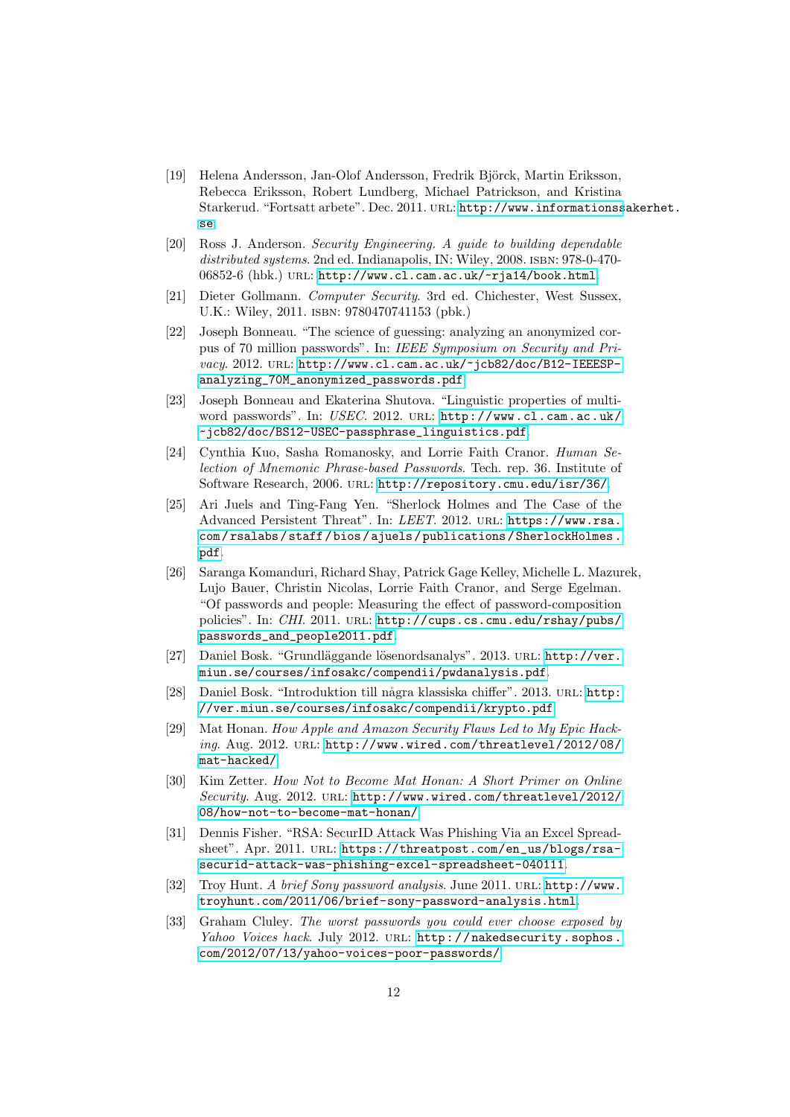- <span id="page-11-0"></span>[19] Helena Andersson, Jan-Olof Andersson, Fredrik Björck, Martin Eriksson, Rebecca Eriksson, Robert Lundberg, Michael Patrickson, and Kristina Starkerud. "Fortsatt arbete". Dec. 2011. URL: [http://www.informationss](http://www.informationssakerhet.se)akerhet. [se](http://www.informationssakerhet.se).
- <span id="page-11-1"></span>[20] Ross J. Anderson. Security Engineering. A guide to building dependable distributed systems. 2nd ed. Indianapolis, IN: Wiley, 2008. ISBN: 978-0-47006852-6 (hbk.) URL: <http://www.cl.cam.ac.uk/~rja14/book.html>.
- <span id="page-11-2"></span>[21] Dieter Gollmann. Computer Security. 3rd ed. Chichester, West Sussex, U.K.: Wiley, 2011. isbn: 9780470741153 (pbk.)
- <span id="page-11-3"></span>[22] Joseph Bonneau. "The science of guessing: analyzing an anonymized corpus of 70 million passwords". In: IEEE Symposium on Security and Privacy. 2012. URL: [http://www.cl.cam.ac.uk/~jcb82/doc/B12-IEEESP](http://www.cl.cam.ac.uk/~jcb82/doc/B12-IEEESP-analyzing_70M_anonymized_passwords.pdf)[analyzing\\_70M\\_anonymized\\_passwords.pdf](http://www.cl.cam.ac.uk/~jcb82/doc/B12-IEEESP-analyzing_70M_anonymized_passwords.pdf).
- [23] Joseph Bonneau and Ekaterina Shutova. "Linguistic properties of multiword passwords". In: USEC. 2012. URL: [http://www.cl.cam.ac.uk/](http://www.cl.cam.ac.uk/~jcb82/doc/BS12-USEC-passphrase_linguistics.pdf) [~jcb82/doc/BS12-USEC-passphrase\\_linguistics.pdf](http://www.cl.cam.ac.uk/~jcb82/doc/BS12-USEC-passphrase_linguistics.pdf).
- <span id="page-11-8"></span>[24] Cynthia Kuo, Sasha Romanosky, and Lorrie Faith Cranor. Human Selection of Mnemonic Phrase-based Passwords. Tech. rep. 36. Institute of Software Research, 2006. url: <http://repository.cmu.edu/isr/36/>.
- <span id="page-11-11"></span>[25] Ari Juels and Ting-Fang Yen. "Sherlock Holmes and The Case of the Advanced Persistent Threat". In: LEET. 2012. url: [https://www.rsa.](https://www.rsa.com/rsalabs/staff/bios/ajuels/publications/SherlockHolmes.pdf) [com / rsalabs / staff / bios / ajuels / publications / SherlockHolmes .](https://www.rsa.com/rsalabs/staff/bios/ajuels/publications/SherlockHolmes.pdf) [pdf](https://www.rsa.com/rsalabs/staff/bios/ajuels/publications/SherlockHolmes.pdf).
- <span id="page-11-4"></span>[26] Saranga Komanduri, Richard Shay, Patrick Gage Kelley, Michelle L. Mazurek, Lujo Bauer, Christin Nicolas, Lorrie Faith Cranor, and Serge Egelman. "Of passwords and people: Measuring the effect of password-composition policies". In: CHI. 2011. URL: [http://cups.cs.cmu.edu/rshay/pubs/](http://cups.cs.cmu.edu/rshay/pubs/passwords_and_people2011.pdf) [passwords\\_and\\_people2011.pdf](http://cups.cs.cmu.edu/rshay/pubs/passwords_and_people2011.pdf).
- <span id="page-11-5"></span>[27] Daniel Bosk. "Grundläggande lösenordsanalys". 2013. URL: [http://ver.](http://ver.miun.se/courses/infosakc/compendii/pwdanalysis.pdf) [miun.se/courses/infosakc/compendii/pwdanalysis.pdf](http://ver.miun.se/courses/infosakc/compendii/pwdanalysis.pdf).
- <span id="page-11-6"></span>[28] Daniel Bosk. "Introduktion till några klassiska chiffer". 2013. URL: [http:](http://ver.miun.se/courses/infosakc/compendii/krypto.pdf) [//ver.miun.se/courses/infosakc/compendii/krypto.pdf](http://ver.miun.se/courses/infosakc/compendii/krypto.pdf).
- <span id="page-11-7"></span>[29] Mat Honan. How Apple and Amazon Security Flaws Led to My Epic Hacking. Aug. 2012. URL: [http://www.wired.com/threatlevel/2012/08/](http://www.wired.com/threatlevel/2012/08/mat-hacked/) [mat-hacked/](http://www.wired.com/threatlevel/2012/08/mat-hacked/).
- [30] Kim Zetter. How Not to Become Mat Honan: A Short Primer on Online Security. Aug. 2012. URL: [http://www.wired.com/threatlevel/2012/](http://www.wired.com/threatlevel/2012/08/how-not-to-become-mat-honan/) [08/how-not-to-become-mat-honan/](http://www.wired.com/threatlevel/2012/08/how-not-to-become-mat-honan/).
- <span id="page-11-10"></span>[31] Dennis Fisher. "RSA: SecurID Attack Was Phishing Via an Excel Spreadsheet". Apr. 2011. URL: [https://threatpost.com/en\\_us/blogs/rsa](https://threatpost.com/en_us/blogs/rsa-securid-attack-was-phishing-excel-spreadsheet-040111)[securid-attack-was-phishing-excel-spreadsheet-040111](https://threatpost.com/en_us/blogs/rsa-securid-attack-was-phishing-excel-spreadsheet-040111).
- <span id="page-11-9"></span>[32] Troy Hunt. A brief Sony password analysis. June 2011. URL: [http://www.](http://www.troyhunt.com/2011/06/brief-sony-password-analysis.html) [troyhunt.com/2011/06/brief-sony-password-analysis.html](http://www.troyhunt.com/2011/06/brief-sony-password-analysis.html).
- [33] Graham Cluley. The worst passwords you could ever choose exposed by Yahoo Voices hack. July 2012. URL: http://nakedsecurity.sophos. [com/2012/07/13/yahoo-voices-poor-passwords/](http://nakedsecurity.sophos.com/2012/07/13/yahoo-voices-poor-passwords/).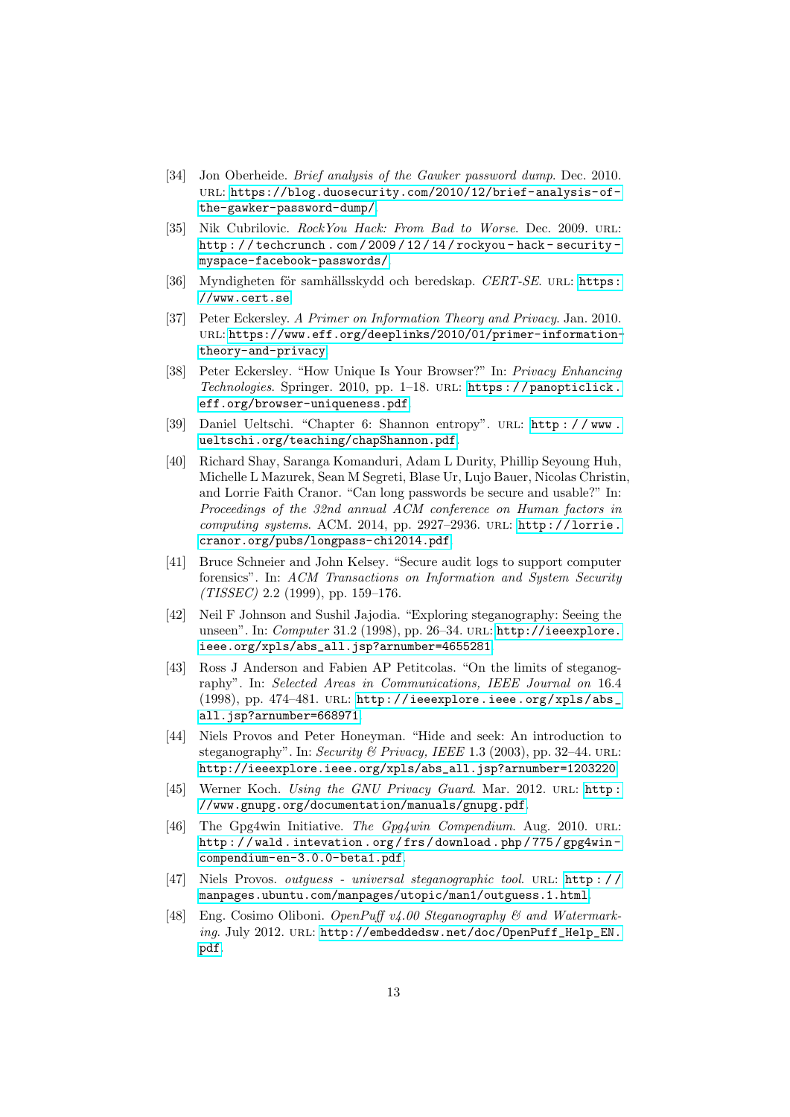- [34] Jon Oberheide. *Brief analysis of the Gawker password dump*. Dec. 2010. url: [https://blog.duosecurity.com/2010/12/brief-analysis-of](https://blog.duosecurity.com/2010/12/brief-analysis-of-the-gawker-password-dump/)[the-gawker-password-dump/](https://blog.duosecurity.com/2010/12/brief-analysis-of-the-gawker-password-dump/).
- <span id="page-12-0"></span>[35] Nik Cubrilovic. RockYou Hack: From Bad to Worse. Dec. 2009. URL: [http : / / techcrunch . com / 2009 / 12 / 14 / rockyou - hack - security](http://techcrunch.com/2009/12/14/rockyou-hack-security-myspace-facebook-passwords/)  [myspace-facebook-passwords/](http://techcrunch.com/2009/12/14/rockyou-hack-security-myspace-facebook-passwords/).
- <span id="page-12-1"></span>[36] Myndigheten för samhällsskydd och beredskap. CERT-SE. URL: [https:](https://www.cert.se) [//www.cert.se](https://www.cert.se).
- <span id="page-12-2"></span>[37] Peter Eckersley. A Primer on Information Theory and Privacy. Jan. 2010. url: [https://www.eff.org/deeplinks/2010/01/primer-information](https://www.eff.org/deeplinks/2010/01/primer-information-theory-and-privacy)[theory-and-privacy](https://www.eff.org/deeplinks/2010/01/primer-information-theory-and-privacy).
- <span id="page-12-3"></span>[38] Peter Eckersley. "How Unique Is Your Browser?" In: Privacy Enhancing Technologies. Springer. 2010, pp. 1–18. url: [https : / / panopticlick .](https://panopticlick.eff.org/browser-uniqueness.pdf) [eff.org/browser-uniqueness.pdf](https://panopticlick.eff.org/browser-uniqueness.pdf).
- <span id="page-12-4"></span>[39] Daniel Ueltschi. "Chapter 6: Shannon entropy". url: [http : / / www .](http://www.ueltschi.org/teaching/chapShannon.pdf) [ueltschi.org/teaching/chapShannon.pdf](http://www.ueltschi.org/teaching/chapShannon.pdf).
- <span id="page-12-5"></span>[40] Richard Shay, Saranga Komanduri, Adam L Durity, Phillip Seyoung Huh, Michelle L Mazurek, Sean M Segreti, Blase Ur, Lujo Bauer, Nicolas Christin, and Lorrie Faith Cranor. "Can long passwords be secure and usable?" In: Proceedings of the 32nd annual ACM conference on Human factors in computing systems. ACM. 2014, pp. 2927-2936. URL: [http://lorrie.](http://lorrie.cranor.org/pubs/longpass-chi2014.pdf) [cranor.org/pubs/longpass-chi2014.pdf](http://lorrie.cranor.org/pubs/longpass-chi2014.pdf).
- <span id="page-12-6"></span>[41] Bruce Schneier and John Kelsey. "Secure audit logs to support computer forensics". In: ACM Transactions on Information and System Security  $(TISSEC)$  2.2 (1999), pp. 159-176.
- <span id="page-12-7"></span>[42] Neil F Johnson and Sushil Jajodia. "Exploring steganography: Seeing the unseen". In: Computer 31.2 (1998), pp. 26-34. URL: [http://ieeexplore.](http://ieeexplore.ieee.org/xpls/abs_all.jsp?arnumber=4655281) [ieee.org/xpls/abs\\_all.jsp?arnumber=4655281](http://ieeexplore.ieee.org/xpls/abs_all.jsp?arnumber=4655281).
- <span id="page-12-8"></span>[43] Ross J Anderson and Fabien AP Petitcolas. "On the limits of steganography". In: Selected Areas in Communications, IEEE Journal on 16.4 (1998), pp. 474-481. URL: [http://ieeexplore.ieee.org/xpls/abs\\_](http://ieeexplore.ieee.org/xpls/abs_all.jsp?arnumber=668971) [all.jsp?arnumber=668971](http://ieeexplore.ieee.org/xpls/abs_all.jsp?arnumber=668971).
- <span id="page-12-9"></span>[44] Niels Provos and Peter Honeyman. "Hide and seek: An introduction to steganography". In: Security & Privacy, IEEE 1.3 (2003), pp. 32–44. URL: [http://ieeexplore.ieee.org/xpls/abs\\_all.jsp?arnumber=1203220](http://ieeexplore.ieee.org/xpls/abs_all.jsp?arnumber=1203220).
- <span id="page-12-10"></span>[45] Werner Koch. Using the GNU Privacy Guard. Mar. 2012. URL: http: [//www.gnupg.org/documentation/manuals/gnupg.pdf](http://www.gnupg.org/documentation/manuals/gnupg.pdf).
- [46] The Gpg4win Initiative. The Gpg4win Compendium. Aug. 2010. URL: [http : / / wald . intevation . org / frs / download . php / 775 / gpg4win](http://wald.intevation.org/frs/download.php/775/gpg4win-compendium-en-3.0.0-beta1.pdf)  [compendium-en-3.0.0-beta1.pdf](http://wald.intevation.org/frs/download.php/775/gpg4win-compendium-en-3.0.0-beta1.pdf).
- [47] Niels Provos. outguess universal steganographic tool. URL: http:// [manpages.ubuntu.com/manpages/utopic/man1/outguess.1.html](http://manpages.ubuntu.com/manpages/utopic/man1/outguess.1.html).
- <span id="page-12-11"></span>[48] Eng. Cosimo Oliboni. OpenPuff v4.00 Steganography & and Watermarking. July 2012. url: [http://embeddedsw.net/doc/OpenPuff\\_Help\\_EN.](http://embeddedsw.net/doc/OpenPuff_Help_EN.pdf) [pdf](http://embeddedsw.net/doc/OpenPuff_Help_EN.pdf).